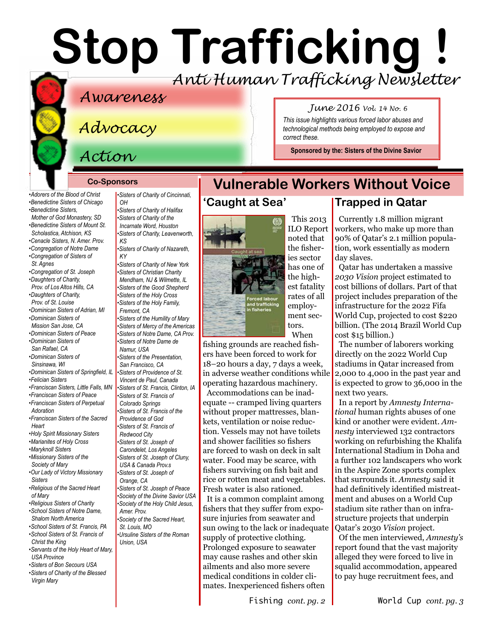# **Stop Trafficking !** *Anti Human Trafficking Newsletter*

*correct these.*

This 2013

**Vulnerable Workers Without Voice**

## *Awareness*

# *Advocacy*

# *Action*

#### **Co-Sponsors**

*[•Adorers of the Blood of Christ](http://www.adorers.org/)  [•Benedictine Sisters of Chicago](http://www.osbchicago.org/index.htm)  [•Benedictine Sisters,](http://watertownbenedictines.org/)  [Mother of God Monastery, SD](http://watertownbenedictines.org/)* 

- *[•Benedictine Sisters of Mount St.](http://www.mountosb.org/)  [Scholastica,](http://www.mountosb.org/) Atchison, KS*
- *[•Cenacle Sisters, N. Amer. Prov.](http://www.cenaclesisters.org/)*
- *[•Congregation of Notre Dame](http://www.cnd-m.org/en/justice/index.php)*
- *[•Congregation of Sisters of](http://www.csasisters.org/)  [St. Agnes](http://www.csasisters.org/)*
- *[•Congregation of St. Joseph](http://www.scjoseph.org)  [•Daughters of Charity,](http://www.daughtersofcharity.com)*
- *[Prov. of L](http://www.daughtersofcharity.com)os Altos Hills, CA [•Daughters of Charity,](http://www.thedaughtersofcharity.org/)*
- *[Prov. of St. Louise](http://www.thedaughtersofcharity.org/) [•Dominican Sisters of Adrian, MI](http://www.adriandominicans.org/)*
- *[•Dominican Sisters of](https://www.msjdominicans.org/)*
- *[Mission San Jose, CA](https://www.msjdominicans.org/)  [•Dominican Sisters of Peace](http://www.oppeace.org)*
- *[•Dominican Sisters of](http://www.sanrafaelop.org/)  [San Rafael, CA](http://www.sanrafaelop.org/)*
- *[•Dominican Sisters of](http://www.sinsinawa.org/)*
- *[Sinsinawa, WI](http://www.sinsinawa.org/)  [•Dominican Sisters of Springfield, IL](http://springfieldop.org/)*
- *[•Felician Sisters](http://feliciansisters.org/)*
- *[•Franciscan Sisters, Little Falls, MN](http://www.fslf.org/)*
- *[•Franciscan Sisters of Peace](https://sites.google.com/site/fspnet2/home)  [•Franciscan Sisters of Perpetual](http://www.fspa.org/content/ministries/justice-peace/partnerships)  [Adoration](http://www.fspa.org/content/ministries/justice-peace/partnerships)*
- *[•Franciscan Sisters of the Sacred](http://www.fssh.com)  [Heart](http://www.fssh.com)*
- *[•Holy Spirit Missionary Sisters](http://www.ssps-usa.org)*
- *[•Marianites of Holy Cross](http://www.marianites.org/)*
- *[•Maryknoll Sisters](https://www.maryknollsisters.org/)*
- *[•Missionary Sisters of the](http://www.maristmissionarysmsm.org/)  [Society of Mary](http://www.maristmissionarysmsm.org/)*
- *[•Our Lady of Victory Missionary](http://www.olvm.org)  [Sisters](http://www.olvm.org)*
- *[•Religious of the Sacred Heart](http://www.rshm.org/)  [of Mary](http://www.rshm.org/)*
- *[•Religious Sisters of Charity](http://www.rsccaritas.ie/)  [•School Sisters of Notre Dame,](http://www.ssnd.org)*
- *[Shalom North America](http://www.ssnd.org)  [•School Sisters of St. Francis, PA](http://www.schoolsistersosf.org/)*
- *[•School Sisters of St. Francis of](http://www.lemontfranciscans.org)  [Christ the King](http://www.lemontfranciscans.org)*
- *[•Servants of the Holy Heart of Mary,](http://www.sscm-usa.org/)  [USA Province](http://www.sscm-usa.org/)*
- *[•Sisters of Bon Secours USA](http://bonsecours.org/us/)  [•Sisters of Charity of the Blessed](http://www.bvmcong.org/)  [Virgin Mary](http://www.bvmcong.org/)*

*[•Sisters of Charity of Cincinnati,](http://www.srcharitycinti.org/)*   $\Omega$ 

*[•Sisters of Charity of Halifax](http://www.schalifax.ca/) [•Sisters of Charity of the](http://www.sistersofcharity.org/)  [Incarnate Word, Houston](http://www.sistersofcharity.org/)* 

*[•Sisters of Charity, Leavenworth,](http://www.scls.org/)  [KS](http://www.scls.org/)*

*[•Sisters of Charity of Nazareth,](http://www.scnfamily.org/)  [KY](http://www.scnfamily.org/)* 

*[•Sisters of Charity of New York](http://scny.org/)  •Sisters of Christian Charity [Mendham, NJ](http://www.scceast.org) [& Wilmette, IL](http://www.sccwilmette.org)  •[Sisters of the Good Shepherd](http://www.goodshepherdsistersna.com/en/Home.aspx)  •[Sisters of the Holy Cross](http://www.cscsisters.org/)  [•Sisters of the Holy Family,](http://www.holyfamilysisters.org/)  [Fremont, CA](http://www.holyfamilysisters.org/)  •[Sisters of the Humility of Mary](http://www.humilityofmary.org/)  [•Sisters of Mercy of the Americas](http://www.sistersofmercy.org/) [•Sisters of Notre Dame, CA Prov.](http://www.sndca.org/) [•Sisters of Notre Dame de](www.sndden.org/index.html)  [Namur, USA](www.sndden.org/index.html)  [•Sisters of the Presentation,](http://www.presentationsisterssf.org/)  [San Francisco, CA](http://www.presentationsisterssf.org/)  [•Sisters of Providence of St.](http://www.providence.ca)  [Vincent de Paul, Canada](http://www.providence.ca)  [•Sisters of St. Francis, Clinton, IA](http://www.clintonfranciscans.com/)  •[Sisters of St. Francis of](http://stfrancis.org/)  [Colorado Springs](http://stfrancis.org/)  [•Sisters of St. Francis of the](http://www.osfprov.org/)  [Providence of God](http://www.osfprov.org/)  •[Sisters of St. Francis of](http://www.franciscanway.org/stfrancisprovince.html)  [Redwood City](http://www.franciscanway.org/stfrancisprovince.html)  [•Sisters of St. Joseph of](http://www.csjla.org)  [Carondelet, Los Angeles](http://www.csjla.org)  [•Sisters of St. Joseph of Cluny,](http://www.clunyusandcanada.org/)  [USA & Canada Prov.s](http://www.clunyusandcanada.org/)  •[Sisters of St. Joseph of](http://csjorange.org/)  [Orange, CA](http://csjorange.org/)  •[Sisters of St. Joseph of Peace](http://www.csjp.org/)  [•Society of the Divine Savior USA](http://www.salvatorians.com/)  [•Society of the Holy Child Jesus,](http://www.shcj.org/american)  [Amer. Prov.](http://www.shcj.org/american)  [•Society of the Sacred Heart,](https://rscj.org/)  [St. Louis, MO](https://rscj.org/) [•Ursuline Sisters of the Roman](http://usaromanunionursulines.org/)  [Union, USA](http://usaromanunionursulines.org/)*

fishing grounds are reached fishers have been forced to work for 18–20 hours a day, 7 days a week, in adverse weather conditions while operating hazardous machinery. Accommodations can be inadequate -- cramped living quarters without proper mattresses, blankets, ventilation or noise reduction. Vessels may not have toilets and shower facilities so fishers are forced to wash on deck in salt water. Food may be scarce, with fishers surviving on fish bait and rice or rotten meat and vegetables. Fresh water is also rationed. It is a common complaint among

fishers that they suffer from exposure injuries from seawater and sun owing to the lack or inadequate supply of protective clothing. Prolonged exposure to seawater may cause rashes and other skin ailments and also more severe medical conditions in colder climates. Inexperienced fishers often

## **Trapped in Qatar**

*June 2016 Vol. 14 No. 6 This issue highlights various forced labor abuses and technological methods being employed to expose and* 

**Sponsored by the: [Sisters of the Divine Savior](http://www.sistersofthedivinesavior.org)**

Currently 1.8 million migrant workers, who make up more than 90% of Qatar's 2.1 million population, work essentially as modern day slaves.

Qatar has undertaken a massive *2030 Vision* project estimated to cost billions of dollars. Part of that project includes preparation of the infrastructure for the 2022 Fifa World Cup, projected to cost \$220 billion. (The 2014 Brazil World Cup cost \$15 billion.)

The number of laborers working directly on the 2022 World Cup stadiums in Qatar increased from 2,000 to 4,000 in the past year and is expected to grow to 36,000 in the next two years.

In a report by *Amnesty International* human rights abuses of one kind or another were evident. *Amnesty* interviewed 132 contractors working on refurbishing the Khalifa International Stadium in Doha and a further 102 landscapers who work in the Aspire Zone sports complex that surrounds it. *Amnesty* said it had definitively identified mistreatment and abuses on a World Cup stadium site rather than on infrastructure projects that underpin Qatar's 2030 *Vision* project.

Of the men interviewed, *Amnesty's* report found that the vast majority alleged they were forced to live in squalid accommodation, appeared to pay huge recruitment fees, and

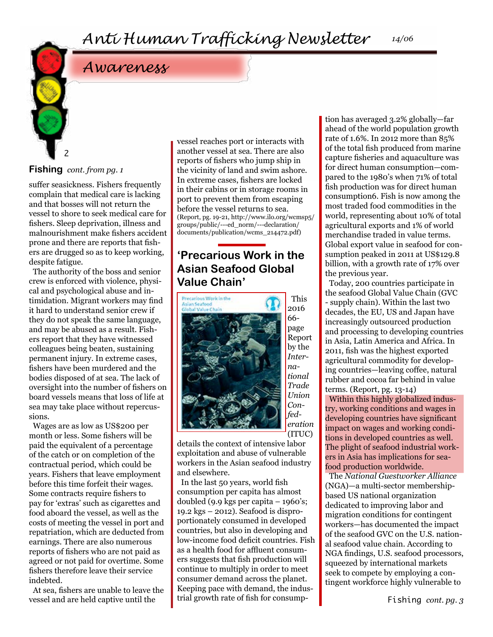# *Awareness*

#### **Fishing** *cont. from pg. 1*

2

suffer seasickness. Fishers frequently complain that medical care is lacking and that bosses will not return the vessel to shore to seek medical care for fishers. Sleep deprivation, illness and malnourishment make fishers accident prone and there are reports that fishers are drugged so as to keep working, despite fatigue.

The authority of the boss and senior crew is enforced with violence, physical and psychological abuse and intimidation. Migrant workers may find it hard to understand senior crew if they do not speak the same language, and may be abused as a result. Fishers report that they have witnessed colleagues being beaten, sustaining permanent injury. In extreme cases, fishers have been murdered and the bodies disposed of at sea. The lack of oversight into the number of fishers on board vessels means that loss of life at sea may take place without repercussions.

Wages are as low as US\$200 per month or less. Some fishers will be paid the equivalent of a percentage of the catch or on completion of the contractual period, which could be years. Fishers that leave employment before this time forfeit their wages. Some contracts require fishers to pay for 'extras' such as cigarettes and food aboard the vessel, as well as the costs of meeting the vessel in port and repatriation, which are deducted from earnings. There are also numerous reports of fishers who are not paid as agreed or not paid for overtime. Some fishers therefore leave their service indebted.

At sea, fishers are unable to leave the vessel and are held captive until the

vessel reaches port or interacts with another vessel at sea. There are also reports of fishers who jump ship in the vicinity of land and swim ashore. In extreme cases, fishers are locked in their cabins or in storage rooms in port to prevent them from escaping before the vessel returns to sea. (Report, pg. 19-21, [http://www.ilo.org/wcmsp5/](http://www.ilo.org/wcmsp5/groups/public/---ed_norm/---declarationdocuments/publication/wcms_214472.pdf) [groups/public/---ed\\_norm/---declaration/](http://www.ilo.org/wcmsp5/groups/public/---ed_norm/---declarationdocuments/publication/wcms_214472.pdf) [documents/publication/wcms\\_214472.pdf](http://www.ilo.org/wcmsp5/groups/public/---ed_norm/---declarationdocuments/publication/wcms_214472.pdf))

## **'Precarious Work in the Asian Seafood Global Value Chain'**



2016 66 page Report by the *International Trade Union Confederation* (ITUC)

This

details the context of intensive labor exploitation and abuse of vulnerable workers in the Asian seafood industry and elsewhere.

In the last 50 years, world fish consumption per capita has almost doubled (9.9 kgs per capita – 1960's; 19.2 kgs – 2012). Seafood is disproportionately consumed in developed countries, but also in developing and low-income food deficit countries. Fish as a health food for affluent consumers suggests that fish production will continue to multiply in order to meet consumer demand across the planet. Keeping pace with demand, the industrial growth rate of fish for consumption has averaged 3.2% globally—far ahead of the world population growth rate of 1.6%. In 2012 more than 85% of the total fish produced from marine capture fisheries and aquaculture was for direct human consumption—compared to the 1980's when 71% of total fish production was for direct human consumption6. Fish is now among the most traded food commodities in the world, representing about 10% of total agricultural exports and 1% of world merchandise traded in value terms. Global export value in seafood for consumption peaked in 2011 at US\$129.8 billion, with a growth rate of 17% over the previous year.

Today, 200 countries participate in the seafood Global Value Chain (GVC - supply chain). Within the last two decades, the EU, US and Japan have increasingly outsourced production and processing to developing countries in Asia, Latin America and Africa. In 2011, fish was the highest exported agricultural commodity for developing countries—leaving coffee, natural rubber and cocoa far behind in value terms. (Report, pg. 13-14)

Within this highly globalized industry, working conditions and wages in developing countries have significant impact on wages and working conditions in developed countries as well. The plight of seafood industrial workers in Asia has implications for seafood production worldwide.

The *National Guestworker Alliance*  (NGA)—a multi-sector membershipbased US national organization dedicated to improving labor and migration conditions for contingent workers—has documented the impact of the seafood GVC on the U.S. national seafood value chain. According to NGA findings, U.S. seafood processors, squeezed by international markets seek to compete by employing a contingent workforce highly vulnerable to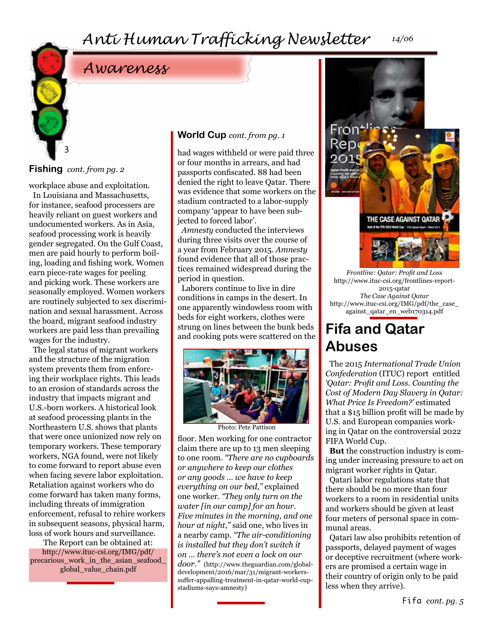# *Awareness*

## **Fishing** *cont. from pg. 2*

3

workplace abuse and exploitation. In Louisiana and Massachusetts, for instance, seafood processers are heavily reliant on guest workers and undocumented workers. As in Asia, seafood processing work is heavily gender segregated. On the Gulf Coast, men are paid hourly to perform boiling, loading and fishing work. Women earn piece-rate wages for peeling and picking work. These workers are seasonally employed. Women workers are routinely subjected to sex discrimination and sexual harassment. Across the board, migrant seafood industry workers are paid less than prevailing wages for the industry.

The legal status of migrant workers and the structure of the migration system prevents them from enforcing their workplace rights. This leads to an erosion of standards across the industry that impacts migrant and U.S.-born workers. A historical look at seafood processing plants in the Northeastern U.S. shows that plants that were once unionized now rely on temporary workers. These temporary workers, NGA found, were not likely to come forward to report abuse even when facing severe labor exploitation. Retaliation against workers who do come forward has taken many forms, including threats of immigration enforcement, refusal to rehire workers in subsequent seasons, physical harm, loss of work hours and surveillance.

The Report can be obtained at: [http://www.ituc-csi.org/IMG/pdf/](http://www.ituc-csi.org/IMG/pdf/precarious_work_in_the_asian_seafood_global_value_chain.pdf) [precarious\\_work\\_in\\_the\\_asian\\_seafood\\_](http://www.ituc-csi.org/IMG/pdf/precarious_work_in_the_asian_seafood_global_value_chain.pdf) [global\\_value\\_chain.pdf](http://www.ituc-csi.org/IMG/pdf/precarious_work_in_the_asian_seafood_global_value_chain.pdf)

#### **World Cup** *cont. from pg. 1*

had wages withheld or were paid three or four months in arrears, and had passports confiscated. 88 had been denied the right to leave Qatar. There was evidence that some workers on the stadium contracted to a labor-supply company 'appear to have been subjected to forced labor'.

*Amnesty* conducted the interviews during three visits over the course of a year from February 2015. *Amnesty* found evidence that all of those practices remained widespread during the period in question.

Laborers continue to live in dire conditions in camps in the desert. In one apparently windowless room with beds for eight workers, clothes were strung on lines between the bunk beds and cooking pots were scattered on the



Photo: Pete Pattison

floor. Men working for one contractor claim there are up to 13 men sleeping to one room. *"There are no cupboards or anywhere to keep our clothes or any goods … we have to keep everything on our bed,"* explained one worker. *"They only turn on the water [in our camp] for an hour. Five minutes in the morning, and one hour at night,"* said one, who lives in a nearby camp. *"The air-conditioning is installed but they don't switch it on … there's not even a lock on our* 

*door."* (http://www.theguardian.com/globaldevelopment/2016/mar/31/migrant-workerssuffer-appalling-treatment-in-qatar-world-cupstadiums-says-amnesty)



*Frontline: Qatar: Profit and Loss* http://www.ituc-csi.org/frontlines-report-2015-qatar *The Case Against Qatar* [http://www.ituc-csi.org/IMG/pdf/the\\_case\\_](http://www.ituc-csi.org/IMG/pdf/the_case_against_ qatar_en_web170314.pdf) [against\\_qatar\\_en\\_web170314.pdf](http://www.ituc-csi.org/IMG/pdf/the_case_against_ qatar_en_web170314.pdf)

# **Fifa and Qatar Abuses**

The 2015 *International Trade Union Confederation* (ITUC) report entitled *'Qatar: Profit and Loss. Counting the Cost of Modern Day Slavery in Qatar: What Price Is Freedom?'* estimated that a \$15 billion profit will be made by U.S. and European companies working in Qatar on the controversial 2022 FIFA World Cup.

**But** the construction industry is coming under increasing pressure to act on migrant worker rights in Qatar.

Qatari labor regulations state that there should be no more than four workers to a room in residential units and workers should be given at least four meters of personal space in communal areas.

Qatari law also prohibits retention of passports, delayed payment of wages or deceptive recruitment (where workers are promised a certain wage in their country of origin only to be paid less when they arrive).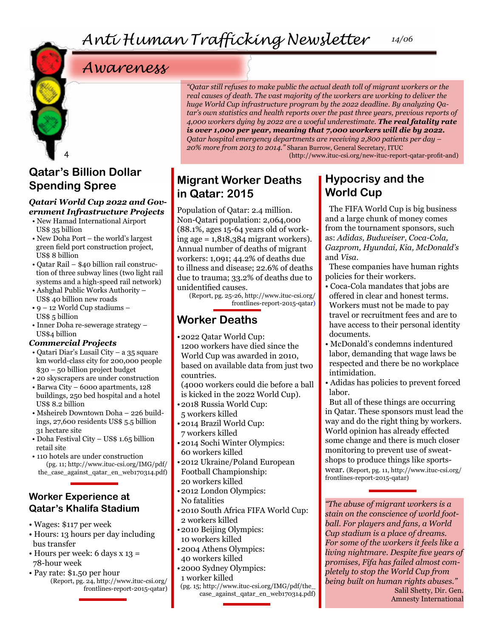# *Awareness*

## 4 **Qatar's Billion Dollar Spending Spree**

#### *Qatari World Cup 2022 and Government Infrastructure Projects*

- New Hamad International Airport US\$ 35 billion
- New Doha Port the world's largest green field port construction project, US\$ 8 billion
- Qatar Rail \$40 billion rail construction of three subway lines (two light rail systems and a high-speed rail network)
- Ashghal Public Works Authority US\$ 40 billion new roads
- 9 12 World Cup stadiums US\$ 5 billion
- Inner Doha re-sewerage strategy US\$4 billion

#### *Commercial Projects*

- Qatari Diar's Lusail City a 35 square km world-class city for 200,000 people \$30 – 50 billion project budget
- 20 skyscrapers are under construction
- Barwa City 6000 apartments, 128 buildings, 250 bed hospital and a hotel US\$ 8.2 billion
- Msheireb Downtown Doha 226 buildings, 27,600 residents US\$ 5.5 billion 31 hectare site
- Doha Festival City US\$ 1.65 billion retail site
- 110 hotels are under construction (pg. 11; [http://www.ituc-csi.org/IMG/pdf/](http://www.ituc-csi.org/IMG/pdf/the_case_against_qatar_en_web170314.pdf)) [the\\_case\\_against\\_qatar\\_en\\_web170314.pdf\)](http://www.ituc-csi.org/IMG/pdf/the_case_against_qatar_en_web170314.pdf))

#### **Worker Experience at Qatar's Khalifa Stadium**

- Wages: \$117 per week
- Hours: 13 hours per day including bus transfer
- Hours per week: 6 days x 13 = 78-hour week
- Pay rate: \$1.50 per hour (Report, pg. 24, [http://www.ituc-csi.org/](http://www.ituc-csi.org/frontlines-report-2015-qatar) [frontlines-report-2015-qatar\)](http://www.ituc-csi.org/frontlines-report-2015-qatar)

*"Qatar still refuses to make public the actual death toll of migrant workers or the real causes of death. The vast majority of the workers are working to deliver the huge World Cup infrastructure program by the 2022 deadline. By analyzing Qatar's own statistics and health reports over the past three years, previous reports of 4,000 workers dying by 2022 are a woeful underestimate. The real fatality rate is over 1,000 per year, meaning that 7,000 workers will die by 2022. Qatar hospital emergency departments are receiving 2,800 patients per day – 20% more from 2013 to 2014."* Sharan Burrow, General Secretary, ITUC

(http://www.ituc-csi.org/new-ituc-report-qatar-profit-and)

## **Migrant Worker Deaths in Qatar: 2015**

Population of Qatar: 2.4 million. Non-Qatari population: 2,064,000 (88.1%, ages 15-64 years old of working age = 1,818,384 migrant workers). Annual number of deaths of migrant workers: 1,091; 44.2% of deaths due to illness and disease; 22.6% of deaths due to trauma; 33.2% of deaths due to unidentified causes.

(Report, pg. 25-26, [http://www.ituc-csi.org/](http://www.ituc-csi.org/frontlines-report-2015-qatar) [frontlines-report-2015-qatar\)](http://www.ituc-csi.org/frontlines-report-2015-qatar)

## **Worker Deaths**

- •2022 Qatar World Cup:
- 1200 workers have died since the World Cup was awarded in 2010, based on available data from just two countries.

(4000 workers could die before a ball is kicked in the 2022 World Cup).

- •2018 Russia World Cup: 5 workers killed
- •2014 Brazil World Cup: 7 workers killed
- •2014 Sochi Winter Olympics: 60 workers killed
- •2012 Ukraine/Poland European Football Championship: 20 workers killed
- •2012 London Olympics:
- No fatalities
- •2010 South Africa FIFA World Cup: 2 workers killed
- •2010 Beijing Olympics: 10 workers killed
- •2004 Athens Olympics: 40 workers killed
- •2000 Sydney Olympics: 1 worker killed
	- (pg. 15; [http://www.ituc-csi.org/IMG/pdf/the\\_](http://www.ituc-csi.org/IMG/pdf/the_case_against_qatar_en_web170314.pdf) [case\\_against\\_qatar\\_en\\_web170314.pdf\)](http://www.ituc-csi.org/IMG/pdf/the_case_against_qatar_en_web170314.pdf)

## **Hypocrisy and the World Cup**

The FIFA World Cup is big business and a large chunk of money comes from the tournament sponsors, such as: *Adidas, Budweiser, Coca-Cola, Gazprom, Hyundai, Kia, McDonald's*  and *Visa.*

These companies have human rights policies for their workers.

- Coca-Cola mandates that jobs are offered in clear and honest terms. Workers must not be made to pay travel or recruitment fees and are to have access to their personal identity documents.
- McDonald's condemns indentured labor, demanding that wage laws be respected and there be no workplace intimidation.
- Adidas has policies to prevent forced labor.

But all of these things are occurring in Qatar. These sponsors must lead the way and do the right thing by workers. World opinion has already effected some change and there is much closer monitoring to prevent use of sweatshops to produce things like sportswear. (Report, pg. 11, [http://www.ituc-csi.org/](http://www.ituc-csi.org/frontlines-report-2015-qatar) [frontlines-report-2015-qatar](http://www.ituc-csi.org/frontlines-report-2015-qatar))

*"The abuse of migrant workers is a stain on the conscience of world football. For players and fans, a World Cup stadium is a place of dreams. For some of the workers it feels like a living nightmare. Despite five years of promises, Fifa has failed almost completely to stop the World Cup from being built on human rights abuses."*  Salil Shetty, Dir. Gen. Amnesty International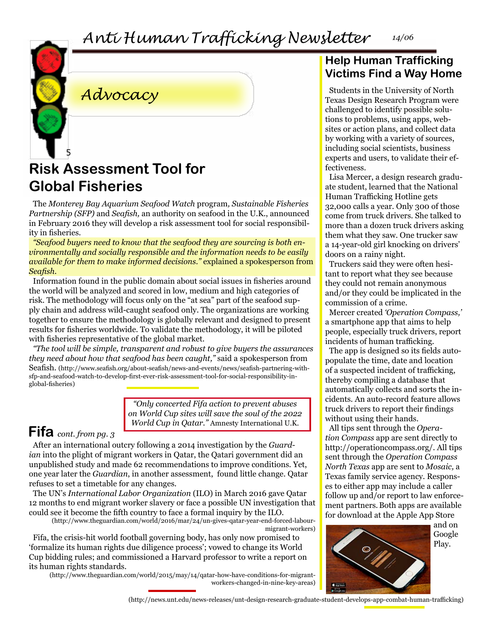*Anti Human Trafficking Newsletter 14/06*



*Advocacy*

# **Risk Assessment Tool for Global Fisheries**

The *Monterey Bay Aquarium Seafood Watch* program*, Sustainable Fisheries Partnership (SFP)* and *Seafish,* an authority on seafood in the U.K., announced in February 2016 they will develop a risk assessment tool for social responsibility in fisheries.

*"Seafood buyers need to know that the seafood they are sourcing is both environmentally and socially responsible and the information needs to be easily available for them to make informed decisions."* explained a spokesperson from *Seafish*.

Information found in the public domain about social issues in fisheries around the world will be analyzed and scored in low, medium and high categories of risk. The methodology will focus only on the "at sea" part of the seafood supply chain and address wild-caught seafood only. The organizations are working together to ensure the methodology is globally relevant and designed to present results for fisheries worldwide. To validate the methodology, it will be piloted with fisheries representative of the global market.

*"The tool will be simple, transparent and robust to give buyers the assurances they need about how that seafood has been caught,"* said a spokesperson from Seafish. (http://www.seafish.org/about-seafish/news-and-events/news/seafish-partnering-withsfp-and-seafood-watch-to-develop-first-ever-risk-assessment-tool-for-social-responsibility-inglobal-fisheries)

> *"Only concerted Fifa action to prevent abuses on World Cup sites will save the soul of the 2022 World Cup in Qatar."* Amnesty International U.K.

# **Fifa** *cont. from pg. 3*

After an international outcry following a 2014 investigation by the *Guardian* into the plight of migrant workers in Qatar, the Qatari government did an unpublished study and made 62 recommendations to improve conditions. Yet, one year later the *Guardian*, in another assessment, found little change. Qatar refuses to set a timetable for any changes.

The UN's *International Labor Organization* (ILO) in March 2016 gave Qatar 12 months to end migrant worker slavery or face a possible UN investigation that could see it become the fifth country to face a formal inquiry by the ILO.

(http://www.theguardian.com/world/2016/mar/24/un-gives-qatar-year-end-forced-labourmigrant-workers)

Fifa, the crisis-hit world football governing body, has only now promised to 'formalize its human rights due diligence process'; vowed to change its World Cup bidding rules; and commissioned a Harvard professor to write a report on its human rights standards.

(http://www.theguardian.com/world/2015/may/14/qatar-how-have-conditions-for-migrantworkers-changed-in-nine-key-areas)

## **Help Human Trafficking Victims Find a Way Home**

Students in the University of North Texas Design Research Program were challenged to identify possible solutions to problems, using apps, websites or action plans, and collect data by working with a variety of sources, including social scientists, business experts and users, to validate their effectiveness.

Lisa Mercer, a design research graduate student, learned that the National Human Trafficking Hotline gets 32,000 calls a year. Only 300 of those come from truck drivers. She talked to more than a dozen truck drivers asking them what they saw. One trucker saw a 14-year-old girl knocking on drivers' doors on a rainy night.

Truckers said they were often hesitant to report what they see because they could not remain anonymous and/or they could be implicated in the commission of a crime.

Mercer created *'Operation Compass,'*  a smartphone app that aims to help people, especially truck drivers, report incidents of human trafficking.

The app is designed so its fields autopopulate the time, date and location of a suspected incident of trafficking, thereby compiling a database that automatically collects and sorts the incidents. An auto-record feature allows truck drivers to report their findings without using their hands.

All tips sent through the *Operation Compass* app are sent directly to http://operationcompass.org/. All tips sent through the *Operation Compass North Texas* app are sent to *Mosaic,* a Texas family service agency. Responses to either app may include a caller follow up and/or report to law enforcement partners.Both apps are available for download at the Apple App Store



(http://news.unt.edu/news-releases/unt-design-research-graduate-student-develops-app-combat-human-trafficking)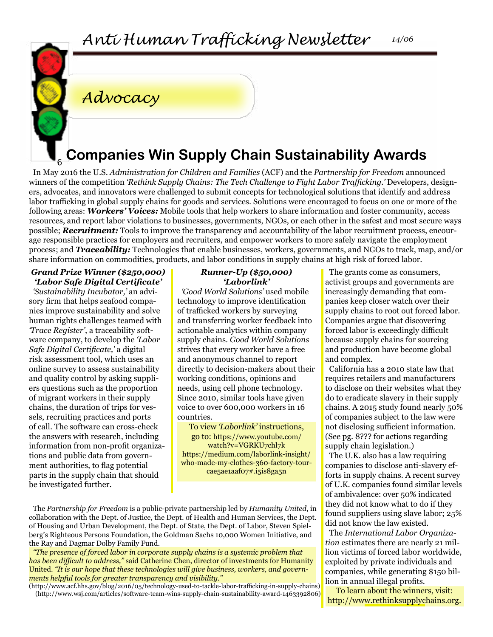

# *Advocacy*

# **Companies Win Supply Chain Sustainability Awards**

In May 2016 the U.S. *Administration for Children and Families* (ACF) and the *Partnership for Freedom* announced winners of the competition *'Rethink Supply Chains: The Tech Challenge to Fight Labor Trafficking.'* Developers, designers, advocates, and innovators were challenged to submit concepts for technological solutions that identify and address labor trafficking in global supply chains for goods and services. Solutions were encouraged to focus on one or more of the following areas: *Workers' Voices:* Mobile tools that help workers to share information and foster community, access resources, and report labor violations to businesses, governments, NGOs, or each other in the safest and most secure ways possible; *Recruitment:* Tools to improve the transparency and accountability of the labor recruitment process, encourage responsible practices for employers and recruiters, and empower workers to more safely navigate the employment process; and *Traceability:* Technologies that enable businesses, workers, governments, and NGOs to track, map, and/or share information on commodities, products, and labor conditions in supply chains at high risk of forced labor.

#### *Grand Prize Winner (\$250,000) 'Labor Safe Digital Certificate'*

6

*'Sustainability Incubator,'* an advisory firm that helps seafood companies improve sustainability and solve human rights challenges teamed with *'Trace Register'*, a traceability software company, to develop the *'Labor Safe Digital Certificate,'* a digital risk assessment tool, which uses an online survey to assess sustainability and quality control by asking suppliers questions such as the proportion of migrant workers in their supply chains, the duration of trips for vessels, recruiting practices and ports of call. The software can cross-check the answers with research, including information from non-profit organizations and public data from government authorities, to flag potential parts in the supply chain that should be investigated further.

#### *Runner-Up (\$50,000) 'Laborlink'*

*'Good World Solutions'* used mobile technology to improve identification of trafficked workers by surveying and transferring worker feedback into actionable analytics within company supply chains. *Good World Solutions*  strives that every worker have a free and anonymous channel to report directly to decision-makers about their working conditions, opinions and needs, using cell phone technology. Since 2010, similar tools have given voice to over 600,000 workers in 16 countries.

To view *'Laborlink'* instructions, go to: [https://www.youtube.com/](https://www.youtube.com/watch?v=VGRKU7chl7k ) [watch?v=VGRKU7chl7k](https://www.youtube.com/watch?v=VGRKU7chl7k ) [https://medium.com/laborlink-insight/](https://medium.com/laborlink-insight/who-made-my-clothes-360-factory-tour-cae5ae1aaf07#.i5is8ga5n ) [who-made-my-clothes-360-factory-tour](https://medium.com/laborlink-insight/who-made-my-clothes-360-factory-tour-cae5ae1aaf07#.i5is8ga5n )[cae5ae1aaf07#.i5is8ga5n](https://medium.com/laborlink-insight/who-made-my-clothes-360-factory-tour-cae5ae1aaf07#.i5is8ga5n )

The *Partnership for Freedom* is a public-private partnership led by *Humanity United*, in collaboration with the Dept. of Justice, the Dept. of Health and Human Services, the Dept. of Housing and Urban Development, the Dept. of State, the Dept. of Labor, Steven Spielberg's Righteous Persons Foundation, the Goldman Sachs 10,000 Women Initiative, and the Ray and Dagmar Dolby Family Fund.

*"The presence of forced labor in corporate supply chains is a systemic problem that has been difficult to address,"* said Catherine Chen, director of investments for Humanity United. *"It is our hope that these technologies will give business, workers, and governments helpful tools for greater transparency and visibility."*

(http://www.acf.hhs.gov/blog/2016/05/technology-used-to-tackle-labor-trafficking-in-supply-chains) (http://www.wsj.com/articles/software-team-wins-supply-chain-sustainability-award-1463392806)

The grants come as consumers, activist groups and governments are increasingly demanding that companies keep closer watch over their supply chains to root out forced labor. Companies argue that discovering forced labor is exceedingly difficult because supply chains for sourcing and production have become global and complex.

California has a 2010 state law that requires retailers and manufacturers to disclose on their websites what they do to eradicate slavery in their supply chains. A 2015 study found nearly 50% of companies subject to the law were not disclosing sufficient information. (See pg. 8??? for actions regarding supply chain legislation.)

The U.K. also has a law requiring companies to disclose anti-slavery efforts in supply chains. A recent survey of U.K. companies found similar levels of ambivalence: over 50% indicated they did not know what to do if they found suppliers using slave labor; 25% did not know the law existed.

The *International Labor Organization* estimates there are nearly 21 million victims of forced labor worldwide, exploited by private individuals and companies, while generating \$150 billion in annual illegal profits.

To learn about the winners, visit: http://www.rethinksupplychains.org.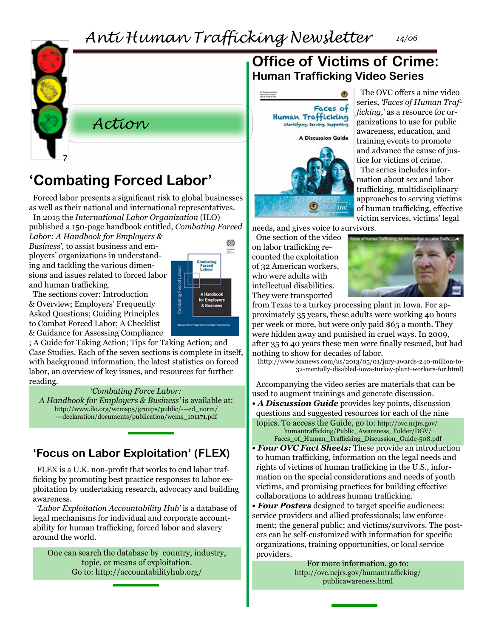*Anti Human Trafficking Newsletter 14/06*



## *Action*

# **'Combating Forced Labor'**

Forced labor presents a significant risk to global businesses as well as their national and international representatives.

In 2015 the *International Labor Organization* (ILO) published a 150-page handbook entitled, *Combating Forced* 

*Labor: A Handbook for Employers & Business',* to assist business and employers' organizations in understanding and tackling the various dimensions and issues related to forced labor and human trafficking.

The sections cover: Introduction & Overview; Employers' Frequently Asked Questions; Guiding Principles to Combat Forced Labor; A Checklist & Guidance for Assessing Compliance

; A Guide for Taking Action; Tips for Taking Action; and Case Studies. Each of the seven sections is complete in itself, with background information, the latest statistics on forced labor, an overview of key issues, and resources for further reading.

#### *'Combating Force Labor:*

*A Handbook for Employers & Business'* is available at: [http://www.ilo.org/wcmsp5/groups/public/---ed\\_norm/](http://www.ilo.org/wcmsp5/groups/public/---ed_norm/---declaration/documents/publication/wcms_101171.pdf) [---declaration/documents/publication/wcms\\_101171.pdf](http://www.ilo.org/wcmsp5/groups/public/---ed_norm/---declaration/documents/publication/wcms_101171.pdf)

## **'Focus on Labor Exploitation' (FLEX)**

FLEX is a U.K. non-profit that works to end labor trafficking by promoting best practice responses to labor exploitation by undertaking research, advocacy and building awareness.

*'Labor Exploitation Accountability Hub'* is a database of legal mechanisms for individual and corporate accountability for human trafficking, forced labor and slavery around the world.

One can search the database by country, industry, topic, or means of exploitation. Go to: http://accountabilityhub.org/

## **Office of Victims of Crime: Human Trafficking Video Series**



The OVC offers a nine video series, *'Faces of Human Trafficking,'* as a resource for organizations to use for public awareness, education, and training events to promote and advance the cause of justice for victims of crime.

The series includes information about sex and labor trafficking, multidisciplinary approaches to serving victims of human trafficking, effective victim services, victims' legal

needs, and gives voice to survivors.

One section of the video on labor trafficking recounted the exploitation of 32 American workers, who were adults with intellectual disabilities. They were transported



from Texas to a turkey processing plant in Iowa. For approximately 35 years, these adults were working 40 hours per week or more, but were only paid \$65 a month. They were hidden away and punished in cruel ways. In 2009, after 35 to 40 years these men were finally rescued, but had nothing to show for decades of labor.

(http://www.foxnews.com/us/2013/05/01/jury-awards-240-million-to-32-mentally-disabled-iowa-turkey-plant-workers-for.html)

Accompanying the video series are materials that can be used to augment trainings and generate discussion.

*• A Discussion Guide* provides key points, discussion questions and suggested resources for each of the nine topics. To access the Guide, go to: [http://ovc.ncjrs.gov/](http://ovc.ncjrs.gov/humantrafficking/Public_Awareness_Folder/DGV/Faces_of_Human_Trafficking_Discussion_Guide-508.pdf)

[humantrafficking/Public\\_Awareness\\_Folder/DGV/](http://ovc.ncjrs.gov/humantrafficking/Public_Awareness_Folder/DGV/Faces_of_Human_Trafficking_Discussion_Guide-508.pdf) [Faces\\_of\\_Human\\_Trafficking\\_Discussion\\_Guide-508.pdf](http://ovc.ncjrs.gov/humantrafficking/Public_Awareness_Folder/DGV/Faces_of_Human_Trafficking_Discussion_Guide-508.pdf)

- *Four OVC Fact Sheets:* These provide an introduction to human trafficking, information on the legal needs and rights of victims of human trafficking in the U.S., information on the special considerations and needs of youth victims, and promising practices for building effective collaborations to address human trafficking.
- *Four Posters* designed to target specific audiences: service providers and allied professionals; law enforcement; the general public; and victims/survivors. The posters can be self-customized with information for specific organizations, training opportunities, or local service providers.

For more information, go to: [http://ovc.ncjrs.gov/humantrafficking/](http://ovc.ncjrs.gov/humantrafficking/publicawareness.html ) [publicawareness.html](http://ovc.ncjrs.gov/humantrafficking/publicawareness.html )